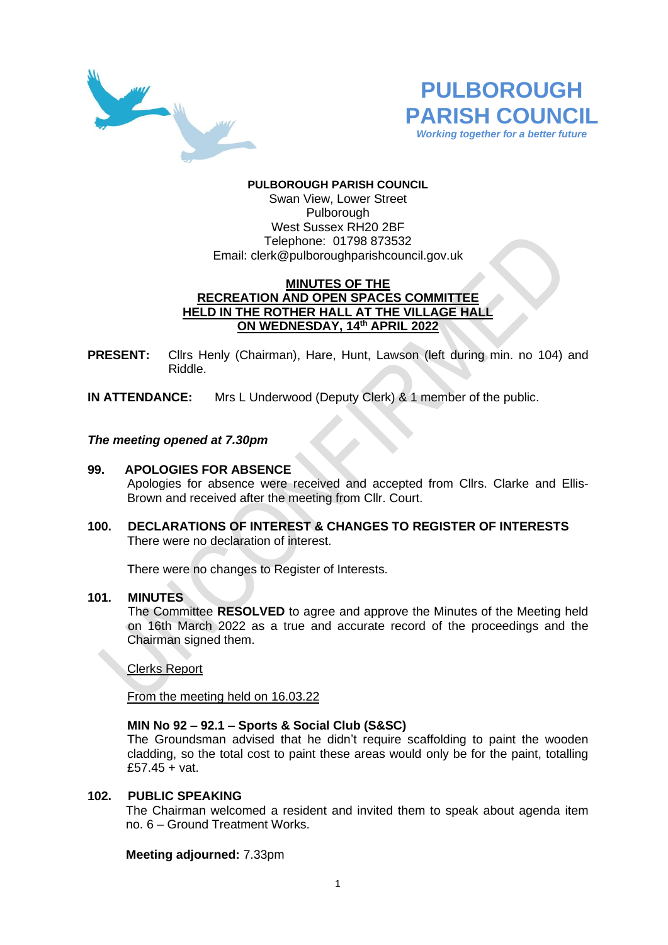



### **PULBOROUGH PARISH COUNCIL** Swan View, Lower Street Pulborough West Sussex RH20 2BF Telephone: 01798 873532 Email: [clerk@pulboroughparishcouncil.gov.uk](mailto:clerk@pulboroughparishcouncil.gov.uk)

## **MINUTES OF THE RECREATION AND OPEN SPACES COMMITTEE HELD IN THE ROTHER HALL AT THE VILLAGE HALL ON WEDNESDAY, 14th APRIL 2022**

**PRESENT:** Cllrs Henly (Chairman), Hare, Hunt, Lawson (left during min. no 104) and Riddle.

**IN ATTENDANCE:** Mrs L Underwood (Deputy Clerk) & 1 member of the public.

### *The meeting opened at 7.30pm*

### **99. APOLOGIES FOR ABSENCE**

Apologies for absence were received and accepted from Cllrs. Clarke and Ellis-Brown and received after the meeting from Cllr. Court.

**100. DECLARATIONS OF INTEREST & CHANGES TO REGISTER OF INTERESTS** There were no declaration of interest.

There were no changes to Register of Interests.

### **101. MINUTES**

The Committee **RESOLVED** to agree and approve the Minutes of the Meeting held on 16th March 2022 as a true and accurate record of the proceedings and the Chairman signed them.

Clerks Report

From the meeting held on 16.03.22

### **MIN No 92 – 92.1 – Sports & Social Club (S&SC)**

The Groundsman advised that he didn't require scaffolding to paint the wooden cladding, so the total cost to paint these areas would only be for the paint, totalling £57.45 + vat.

## **102. PUBLIC SPEAKING**

The Chairman welcomed a resident and invited them to speak about agenda item no. 6 – Ground Treatment Works.

### **Meeting adjourned:** 7.33pm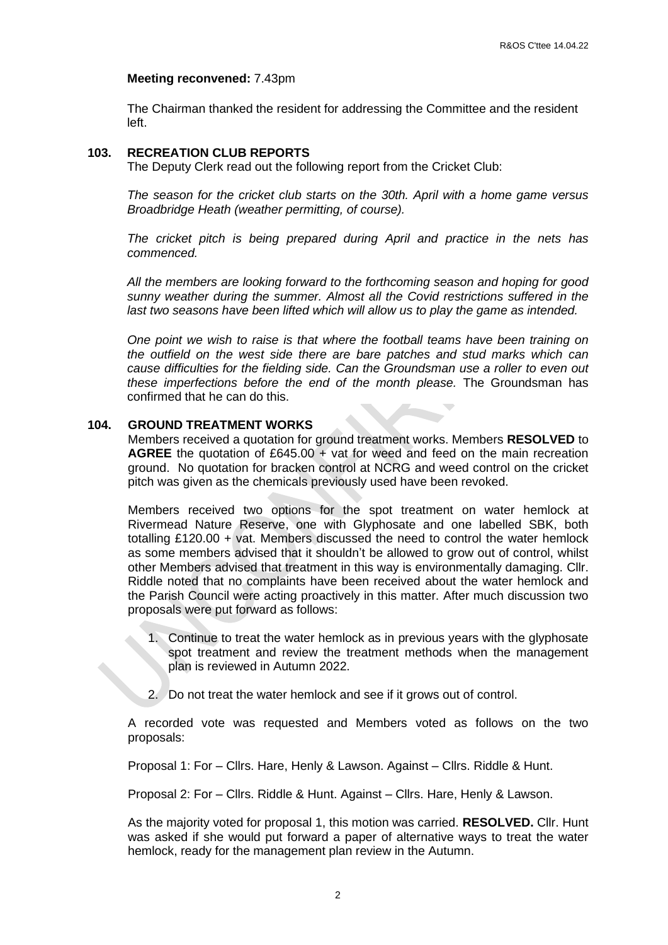#### **Meeting reconvened:** 7.43pm

The Chairman thanked the resident for addressing the Committee and the resident left.

#### **103. RECREATION CLUB REPORTS**

The Deputy Clerk read out the following report from the Cricket Club:

*The season for the cricket club starts on the 30th. April with a home game versus Broadbridge Heath (weather permitting, of course).*

*The cricket pitch is being prepared during April and practice in the nets has commenced.*

*All the members are looking forward to the forthcoming season and hoping for good sunny weather during the summer. Almost all the Covid restrictions suffered in the last two seasons have been lifted which will allow us to play the game as intended.*

*One point we wish to raise is that where the football teams have been training on the outfield on the west side there are bare patches and stud marks which can cause difficulties for the fielding side. Can the Groundsman use a roller to even out these imperfections before the end of the month please.* The Groundsman has confirmed that he can do this.

#### **104. GROUND TREATMENT WORKS**

Members received a quotation for ground treatment works. Members **RESOLVED** to **AGREE** the quotation of £645.00 + vat for weed and feed on the main recreation ground. No quotation for bracken control at NCRG and weed control on the cricket pitch was given as the chemicals previously used have been revoked.

Members received two options for the spot treatment on water hemlock at Rivermead Nature Reserve, one with Glyphosate and one labelled SBK, both totalling £120.00 + vat. Members discussed the need to control the water hemlock as some members advised that it shouldn't be allowed to grow out of control, whilst other Members advised that treatment in this way is environmentally damaging. Cllr. Riddle noted that no complaints have been received about the water hemlock and the Parish Council were acting proactively in this matter. After much discussion two proposals were put forward as follows:

- 1. Continue to treat the water hemlock as in previous years with the glyphosate spot treatment and review the treatment methods when the management plan is reviewed in Autumn 2022.
- 2. Do not treat the water hemlock and see if it grows out of control.

A recorded vote was requested and Members voted as follows on the two proposals:

Proposal 1: For – Cllrs. Hare, Henly & Lawson. Against – Cllrs. Riddle & Hunt.

Proposal 2: For – Cllrs. Riddle & Hunt. Against – Cllrs. Hare, Henly & Lawson.

As the majority voted for proposal 1, this motion was carried. **RESOLVED.** Cllr. Hunt was asked if she would put forward a paper of alternative ways to treat the water hemlock, ready for the management plan review in the Autumn.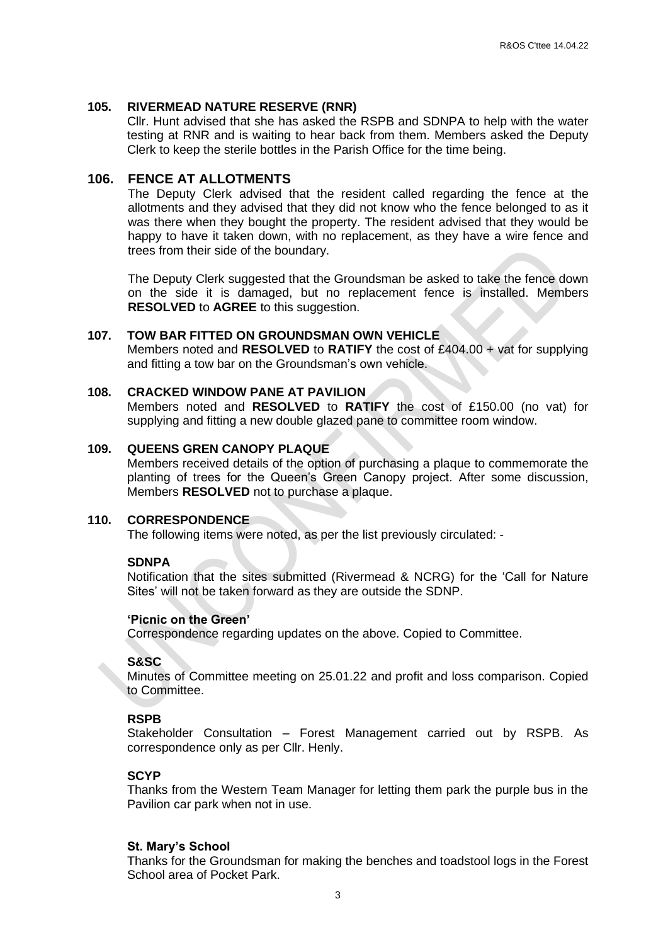#### **105. RIVERMEAD NATURE RESERVE (RNR)**

Cllr. Hunt advised that she has asked the RSPB and SDNPA to help with the water testing at RNR and is waiting to hear back from them. Members asked the Deputy Clerk to keep the sterile bottles in the Parish Office for the time being.

### **106. FENCE AT ALLOTMENTS**

The Deputy Clerk advised that the resident called regarding the fence at the allotments and they advised that they did not know who the fence belonged to as it was there when they bought the property. The resident advised that they would be happy to have it taken down, with no replacement, as they have a wire fence and trees from their side of the boundary.

The Deputy Clerk suggested that the Groundsman be asked to take the fence down on the side it is damaged, but no replacement fence is installed. Members **RESOLVED** to **AGREE** to this suggestion.

#### **107. TOW BAR FITTED ON GROUNDSMAN OWN VEHICLE**

Members noted and **RESOLVED** to **RATIFY** the cost of £404.00 + vat for supplying and fitting a tow bar on the Groundsman's own vehicle.

### **108. CRACKED WINDOW PANE AT PAVILION**

Members noted and **RESOLVED** to **RATIFY** the cost of £150.00 (no vat) for supplying and fitting a new double glazed pane to committee room window.

### **109. QUEENS GREN CANOPY PLAQUE**

Members received details of the option of purchasing a plaque to commemorate the planting of trees for the Queen's Green Canopy project. After some discussion, Members **RESOLVED** not to purchase a plaque.

#### **110. CORRESPONDENCE**

The following items were noted, as per the list previously circulated: -

### **SDNPA**

Notification that the sites submitted (Rivermead & NCRG) for the 'Call for Nature Sites' will not be taken forward as they are outside the SDNP.

#### **'Picnic on the Green'**

Correspondence regarding updates on the above. Copied to Committee.

### **S&SC**

Minutes of Committee meeting on 25.01.22 and profit and loss comparison. Copied to Committee.

### **RSPB**

Stakeholder Consultation – Forest Management carried out by RSPB. As correspondence only as per Cllr. Henly.

### **SCYP**

Thanks from the Western Team Manager for letting them park the purple bus in the Pavilion car park when not in use.

#### **St. Mary's School**

Thanks for the Groundsman for making the benches and toadstool logs in the Forest School area of Pocket Park.